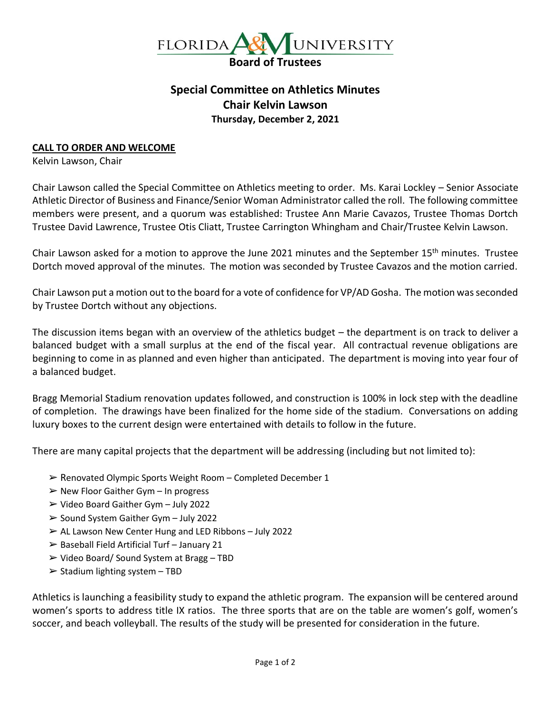

## **Special Committee on Athletics Minutes Chair Kelvin Lawson Thursday, December 2, 2021**

## **CALL TO ORDER AND WELCOME**

Kelvin Lawson, Chair

Chair Lawson called the Special Committee on Athletics meeting to order. Ms. Karai Lockley – Senior Associate Athletic Director of Business and Finance/Senior Woman Administrator called the roll. The following committee members were present, and a quorum was established: Trustee Ann Marie Cavazos, Trustee Thomas Dortch Trustee David Lawrence, Trustee Otis Cliatt, Trustee Carrington Whingham and Chair/Trustee Kelvin Lawson.

Chair Lawson asked for a motion to approve the June 2021 minutes and the September 15<sup>th</sup> minutes. Trustee Dortch moved approval of the minutes. The motion was seconded by Trustee Cavazos and the motion carried.

Chair Lawson put a motion out to the board for a vote of confidence for VP/AD Gosha. The motion was seconded by Trustee Dortch without any objections.

The discussion items began with an overview of the athletics budget – the department is on track to deliver a balanced budget with a small surplus at the end of the fiscal year. All contractual revenue obligations are beginning to come in as planned and even higher than anticipated. The department is moving into year four of a balanced budget.

Bragg Memorial Stadium renovation updates followed, and construction is 100% in lock step with the deadline of completion. The drawings have been finalized for the home side of the stadium. Conversations on adding luxury boxes to the current design were entertained with details to follow in the future.

There are many capital projects that the department will be addressing (including but not limited to):

- ➢ Renovated Olympic Sports Weight Room Completed December 1
- $\triangleright$  New Floor Gaither Gym In progress
- ➢ Video Board Gaither Gym July 2022
- ➢ Sound System Gaither Gym July 2022
- $\triangleright$  AL Lawson New Center Hung and LED Ribbons July 2022
- $\triangleright$  Baseball Field Artificial Turf January 21
- ➢ Video Board/ Sound System at Bragg TBD
- $\triangleright$  Stadium lighting system TBD

Athletics is launching a feasibility study to expand the athletic program. The expansion will be centered around women's sports to address title IX ratios. The three sports that are on the table are women's golf, women's soccer, and beach volleyball. The results of the study will be presented for consideration in the future.